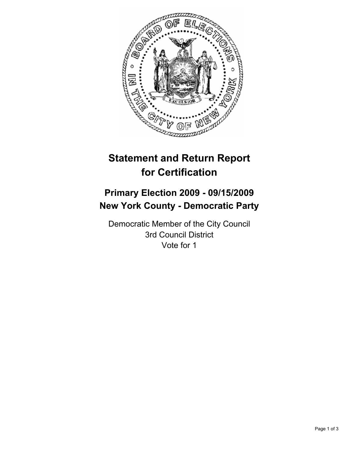

# **Statement and Return Report for Certification**

# **Primary Election 2009 - 09/15/2009 New York County - Democratic Party**

Democratic Member of the City Council 3rd Council District Vote for 1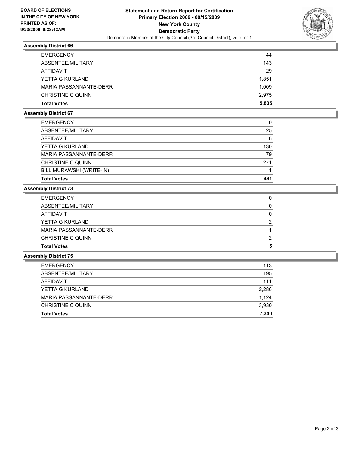

#### **Assembly District 66**

| <b>EMERGENCY</b>       | 44    |
|------------------------|-------|
| ABSENTEE/MILITARY      | 143   |
| AFFIDAVIT              | 29    |
| YETTA G KURLAND        | 1,851 |
| MARIA PASSANNANTE-DERR | 1,009 |
| CHRISTINE C QUINN      | 2.975 |
| <b>Total Votes</b>     | 5.835 |

#### **Assembly District 67**

| <b>EMERGENCY</b>         | 0   |
|--------------------------|-----|
| ABSENTEE/MILITARY        | 25  |
| AFFIDAVIT                | 6   |
| YETTA G KURLAND          | 130 |
| MARIA PASSANNANTE-DERR   | 79  |
| CHRISTINE C QUINN        | 271 |
| BILL MURAWSKI (WRITE-IN) |     |
| <b>Total Votes</b>       | 481 |

### **Assembly District 73**

| <b>Total Votes</b>     | 5 |
|------------------------|---|
| CHRISTINE C QUINN      | 2 |
| MARIA PASSANNANTE-DERR |   |
| YETTA G KURLAND        | 2 |
| <b>AFFIDAVIT</b>       | 0 |
| ABSENTEE/MILITARY      |   |
| <b>EMERGENCY</b>       |   |

#### **Assembly District 75**

| <b>Total Votes</b>     | 7.340 |
|------------------------|-------|
| CHRISTINE C QUINN      | 3,930 |
| MARIA PASSANNANTE-DERR | 1.124 |
| YETTA G KURLAND        | 2,286 |
| AFFIDAVIT              | 111   |
| ABSENTEE/MILITARY      | 195   |
| <b>EMERGENCY</b>       | 113   |